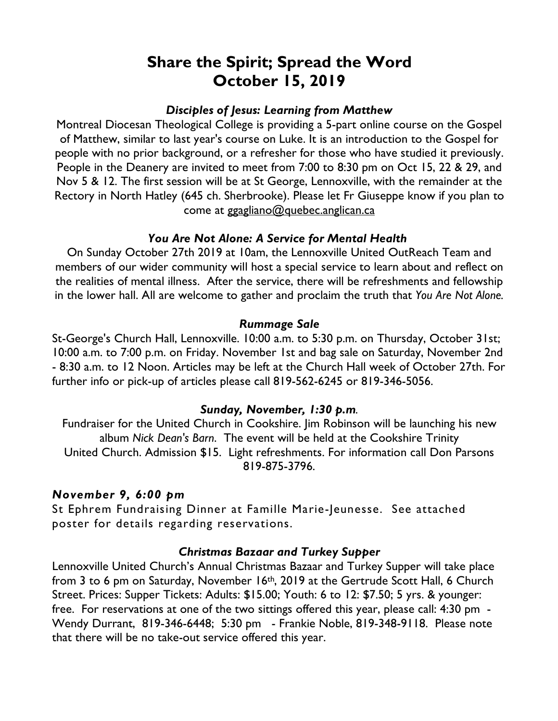# **Share the Spirit; Spread the Word October 15, 2019**

## *Disciples of Jesus: Learning from Matthew*

Montreal Diocesan Theological College is providing a 5-part online course on the Gospel of Matthew, similar to last year's course on Luke. It is an introduction to the Gospel for people with no prior background, or a refresher for those who have studied it previously. People in the Deanery are invited to meet from 7:00 to 8:30 pm on Oct 15, 22 & 29, and Nov 5 & 12. The first session will be at St George, Lennoxville, with the remainder at the Rectory in North Hatley (645 ch. Sherbrooke). Please let Fr Giuseppe know if you plan to come at ggagliano@quebec.anglican.ca

### *You Are Not Alone: A Service for Mental Health*

On Sunday October 27th 2019 at 10am, the Lennoxville United OutReach Team and members of our wider community will host a special service to learn about and reflect on the realities of mental illness. After the service, there will be refreshments and fellowship in the lower hall. All are welcome to gather and proclaim the truth that *You Are Not Alone.*

### *Rummage Sale*

St-George's Church Hall, Lennoxville. 10:00 a.m. to 5:30 p.m. on Thursday, October 31st; 10:00 a.m. to 7:00 p.m. on Friday. November 1st and bag sale on Saturday, November 2nd - 8:30 a.m. to 12 Noon. Articles may be left at the Church Hall week of October 27th. For further info or pick-up of articles please call 819-562-6245 or 819-346-5056.

### *Sunday, November, 1:30 p.m.*

Fundraiser for the United Church in Cookshire. Jim Robinson will be launching his new album *Nick Dean's Barn*. The event will be held at the Cookshire Trinity United Church. Admission \$15. Light refreshments. For information call Don Parsons 819-875-3796.

### *November 9, 6:00 pm*

St Ephrem Fundraising Dinner at Famille Marie-Jeunesse. See attached poster for details regarding reservations.

#### *Christmas Bazaar and Turkey Supper*

Lennoxville United Church's Annual Christmas Bazaar and Turkey Supper will take place from 3 to 6 pm on Saturday, November 16th, 2019 at the Gertrude Scott Hall, 6 Church Street. Prices: Supper Tickets: Adults: \$15.00; Youth: 6 to 12: \$7.50; 5 yrs. & younger: free. For reservations at one of the two sittings offered this year, please call: 4:30 pm - Wendy Durrant, 819-346-6448; 5:30 pm - Frankie Noble, 819-348-9118. Please note that there will be no take-out service offered this year.